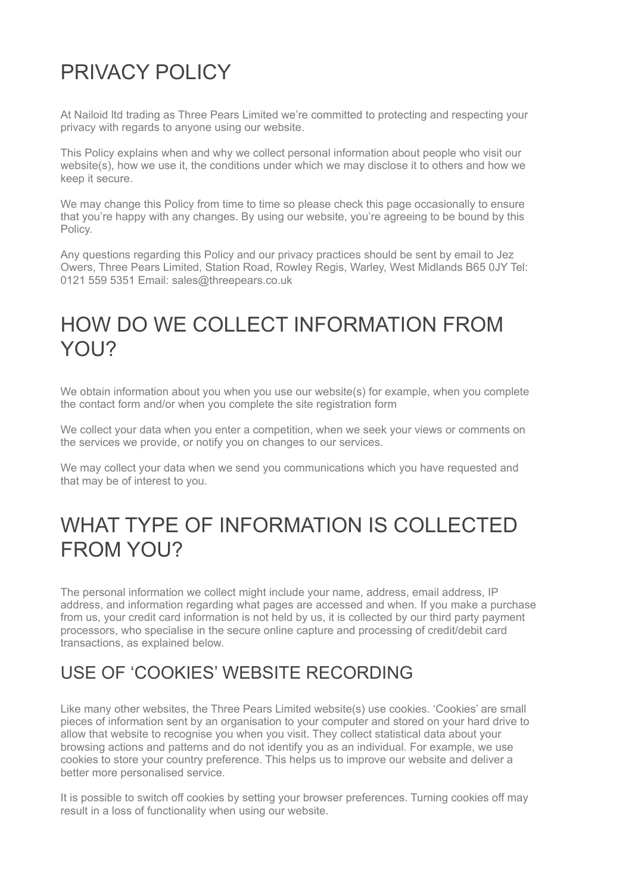## PRIVACY POLICY

At Nailoid ltd trading as Three Pears Limited we're committed to protecting and respecting your privacy with regards to anyone using our website.

This Policy explains when and why we collect personal information about people who visit our website(s), how we use it, the conditions under which we may disclose it to others and how we keep it secure.

We may change this Policy from time to time so please check this page occasionally to ensure that you're happy with any changes. By using our website, you're agreeing to be bound by this Policy.

Any questions regarding this Policy and our privacy practices should be sent by email to Jez Owers, Three Pears Limited, Station Road, Rowley Regis, Warley, West Midlands B65 0JY Tel: 0121 559 5351 Email: sales@threepears.co.uk

#### HOW DO WE COLLECT INFORMATION FROM YOU?

We obtain information about you when you use our website(s) for example, when you complete the contact form and/or when you complete the site registration form

We collect your data when you enter a competition, when we seek your views or comments on the services we provide, or notify you on changes to our services.

We may collect your data when we send you communications which you have requested and that may be of interest to you.

#### WHAT TYPE OF INFORMATION IS COLLECTED FROM YOU?

The personal information we collect might include your name, address, email address, IP address, and information regarding what pages are accessed and when. If you make a purchase from us, your credit card information is not held by us, it is collected by our third party payment processors, who specialise in the secure online capture and processing of credit/debit card transactions, as explained below.

#### USE OF 'COOKIES' WEBSITE RECORDING

Like many other websites, the Three Pears Limited website(s) use cookies. 'Cookies' are small pieces of information sent by an organisation to your computer and stored on your hard drive to allow that website to recognise you when you visit. They collect statistical data about your browsing actions and patterns and do not identify you as an individual. For example, we use cookies to store your country preference. This helps us to improve our website and deliver a better more personalised service.

It is possible to switch off cookies by setting your browser preferences. Turning cookies off may result in a loss of functionality when using our website.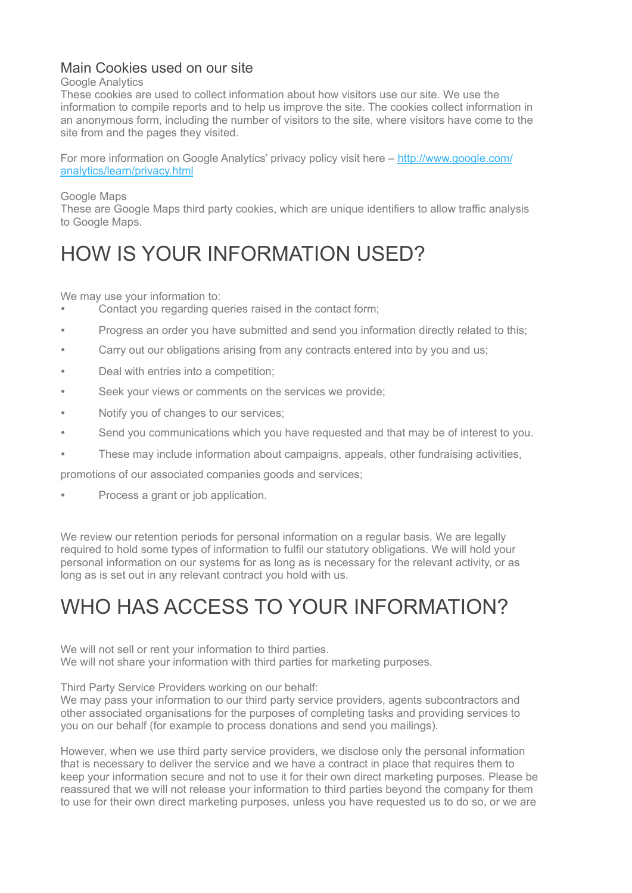#### Main Cookies used on our site

#### Google Analytics

These cookies are used to collect information about how visitors use our site. We use the information to compile reports and to help us improve the site. The cookies collect information in an anonymous form, including the number of visitors to the site, where visitors have come to the site from and the pages they visited.

For more information on Google Analytics' privacy policy visit here – [http://www.google.com/](http://www.google.com/analytics/learn/privacy.html) [analytics/learn/privacy.html](http://www.google.com/analytics/learn/privacy.html)

Google Maps

These are Google Maps third party cookies, which are unique identifiers to allow traffic analysis to Google Maps.

## HOW IS YOUR INFORMATION USED?

We may use your information to:

- Contact you regarding queries raised in the contact form;
- Progress an order you have submitted and send you information directly related to this;
- Carry out our obligations arising from any contracts entered into by you and us;
- Deal with entries into a competition;
- Seek your views or comments on the services we provide:
- Notify you of changes to our services;
- Send you communications which you have requested and that may be of interest to you.
- These may include information about campaigns, appeals, other fundraising activities,

promotions of our associated companies goods and services;

• Process a grant or job application.

We review our retention periods for personal information on a regular basis. We are legally required to hold some types of information to fulfil our statutory obligations. We will hold your personal information on our systems for as long as is necessary for the relevant activity, or as long as is set out in any relevant contract you hold with us.

#### WHO HAS ACCESS TO YOUR INFORMATION?

We will not sell or rent your information to third parties. We will not share your information with third parties for marketing purposes.

Third Party Service Providers working on our behalf:

We may pass your information to our third party service providers, agents subcontractors and other associated organisations for the purposes of completing tasks and providing services to you on our behalf (for example to process donations and send you mailings).

However, when we use third party service providers, we disclose only the personal information that is necessary to deliver the service and we have a contract in place that requires them to keep your information secure and not to use it for their own direct marketing purposes. Please be reassured that we will not release your information to third parties beyond the company for them to use for their own direct marketing purposes, unless you have requested us to do so, or we are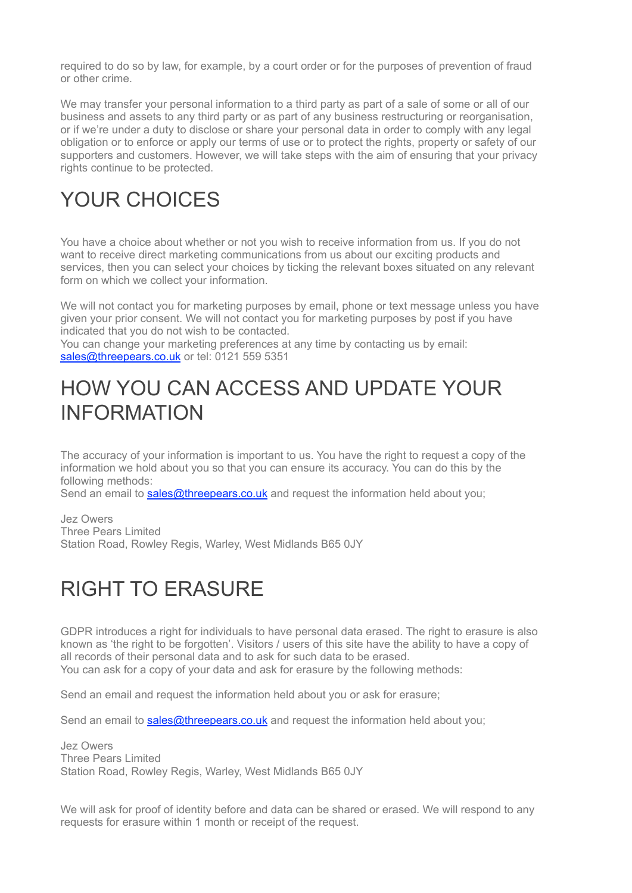required to do so by law, for example, by a court order or for the purposes of prevention of fraud or other crime.

We may transfer your personal information to a third party as part of a sale of some or all of our business and assets to any third party or as part of any business restructuring or reorganisation, or if we're under a duty to disclose or share your personal data in order to comply with any legal obligation or to enforce or apply our terms of use or to protect the rights, property or safety of our supporters and customers. However, we will take steps with the aim of ensuring that your privacy rights continue to be protected.

#### YOUR CHOICES

You have a choice about whether or not you wish to receive information from us. If you do not want to receive direct marketing communications from us about our exciting products and services, then you can select your choices by ticking the relevant boxes situated on any relevant form on which we collect your information.

We will not contact you for marketing purposes by email, phone or text message unless you have given your prior consent. We will not contact you for marketing purposes by post if you have indicated that you do not wish to be contacted.

You can change your marketing preferences at any time by contacting us by email: [sales@threepears.co.uk](mailto:sales@threepears.co.uk) or tel: 0121 559 5351

#### HOW YOU CAN ACCESS AND UPDATE YOUR INFORMATION

The accuracy of your information is important to us. You have the right to request a copy of the information we hold about you so that you can ensure its accuracy. You can do this by the following methods:

Send an email to [sales@threepears.co.uk](mailto:sales@threepears.co.uk) and request the information held about you;

Jez Owers Three Pears Limited Station Road, Rowley Regis, Warley, West Midlands B65 0JY

## RIGHT TO ERASURE

GDPR introduces a right for individuals to have personal data erased. The right to erasure is also known as 'the right to be forgotten'. Visitors / users of this site have the ability to have a copy of all records of their personal data and to ask for such data to be erased. You can ask for a copy of your data and ask for erasure by the following methods:

Send an email and request the information held about you or ask for erasure;

Send an email to [sales@threepears.co.uk](mailto:sales@threepears.co.uk) and request the information held about you;

Jez Owers Three Pears Limited Station Road, Rowley Regis, Warley, West Midlands B65 0JY

We will ask for proof of identity before and data can be shared or erased. We will respond to any requests for erasure within 1 month or receipt of the request.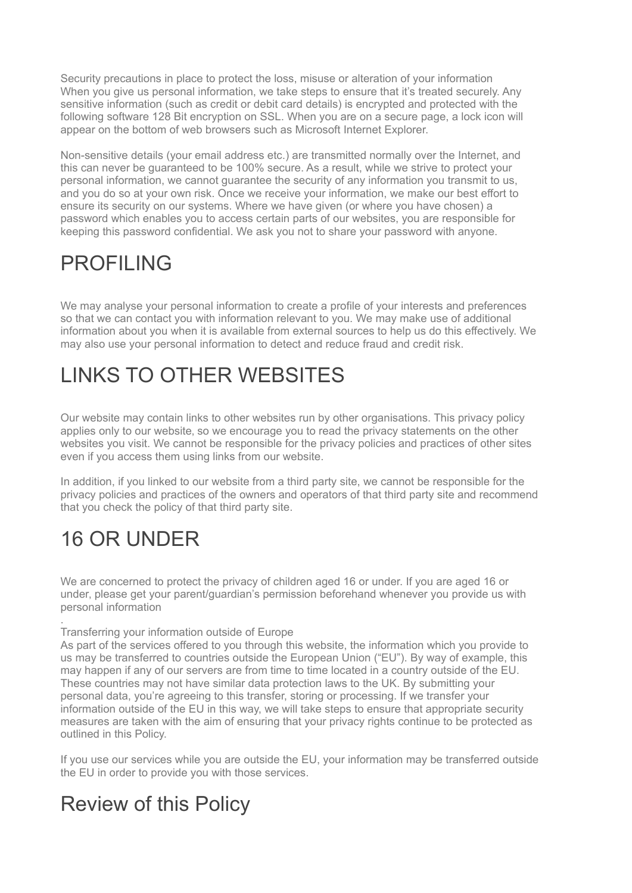Security precautions in place to protect the loss, misuse or alteration of your information When you give us personal information, we take steps to ensure that it's treated securely. Any sensitive information (such as credit or debit card details) is encrypted and protected with the following software 128 Bit encryption on SSL. When you are on a secure page, a lock icon will appear on the bottom of web browsers such as Microsoft Internet Explorer.

Non-sensitive details (your email address etc.) are transmitted normally over the Internet, and this can never be guaranteed to be 100% secure. As a result, while we strive to protect your personal information, we cannot guarantee the security of any information you transmit to us, and you do so at your own risk. Once we receive your information, we make our best effort to ensure its security on our systems. Where we have given (or where you have chosen) a password which enables you to access certain parts of our websites, you are responsible for keeping this password confidential. We ask you not to share your password with anyone.

#### PROFILING

We may analyse your personal information to create a profile of your interests and preferences so that we can contact you with information relevant to you. We may make use of additional information about you when it is available from external sources to help us do this effectively. We may also use your personal information to detect and reduce fraud and credit risk.

## LINKS TO OTHER WEBSITES

Our website may contain links to other websites run by other organisations. This privacy policy applies only to our website, so we encourage you to read the privacy statements on the other websites you visit. We cannot be responsible for the privacy policies and practices of other sites even if you access them using links from our website.

In addition, if you linked to our website from a third party site, we cannot be responsible for the privacy policies and practices of the owners and operators of that third party site and recommend that you check the policy of that third party site.

# 16 OR UNDER

We are concerned to protect the privacy of children aged 16 or under. If you are aged 16 or under, please get your parent/guardian's permission beforehand whenever you provide us with personal information

#### . Transferring your information outside of Europe

As part of the services offered to you through this website, the information which you provide to us may be transferred to countries outside the European Union ("EU"). By way of example, this may happen if any of our servers are from time to time located in a country outside of the EU. These countries may not have similar data protection laws to the UK. By submitting your personal data, you're agreeing to this transfer, storing or processing. If we transfer your information outside of the EU in this way, we will take steps to ensure that appropriate security measures are taken with the aim of ensuring that your privacy rights continue to be protected as outlined in this Policy.

If you use our services while you are outside the EU, your information may be transferred outside the EU in order to provide you with those services.

#### Review of this Policy